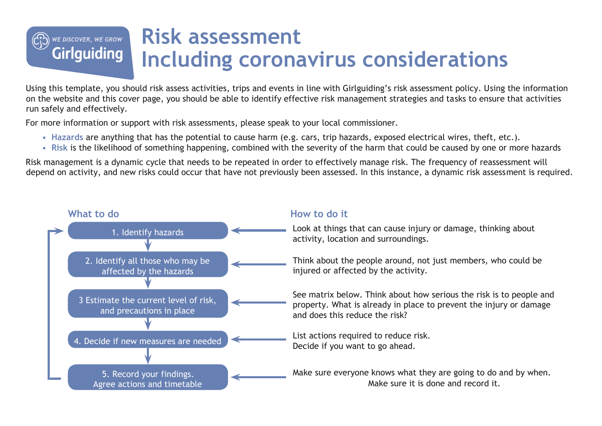## **Risk assessment** WE DISCOVER, WE GROW **Girlguiding Including coronavirus considerations**

Using this template, you should risk assess activities, trips and events in line with Girlguiding's risk assessment policy. Using the information on the website and this cover page, you should be able to identify effective risk management strategies and tasks to ensure that activities run safely and effectively.

For more information or support with risk assessments, please speak to your local commissioner.

- **Hazards** are anything that has the potential to cause harm (e.g. cars, trip hazards, exposed electrical wires, theft, etc.).
- **Risk** is the likelihood of something happening, combined with the severity of the harm that could be caused by one or more hazards

Risk management is a dynamic cycle that needs to be repeated in order to effectively manage risk. The frequency of reassessment will depend on activity, and new risks could occur that have not previously been assessed. In this instance, a dynamic risk assessment is required.

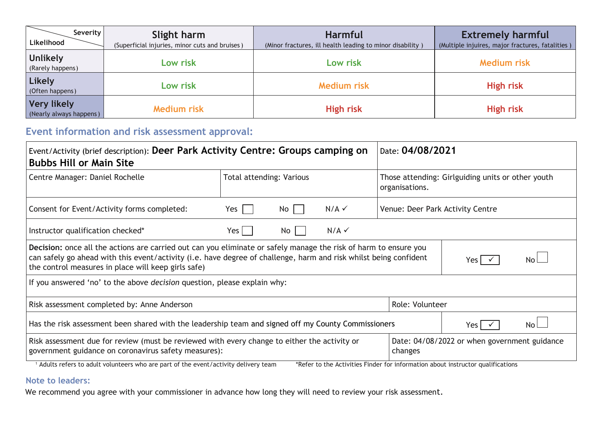| Severity<br>Likelihood                        | Slight harm<br>(Superficial injuries, minor cuts and bruises) | <b>Harmful</b><br>(Minor fractures, ill health leading to minor disability) | <b>Extremely harmful</b><br>(Multiple injuires, major fractures, fatalities) |
|-----------------------------------------------|---------------------------------------------------------------|-----------------------------------------------------------------------------|------------------------------------------------------------------------------|
| <b>Unlikely</b><br>(Rarely happens)           | Low risk                                                      | Low risk                                                                    | <b>Medium risk</b>                                                           |
| <b>Likely</b><br>(Often happens)              | Low risk                                                      | <b>Medium risk</b>                                                          | <b>High risk</b>                                                             |
| <b>Very likely</b><br>(Nearly always happens) | <b>Medium risk</b>                                            | <b>High risk</b>                                                            | <b>High risk</b>                                                             |

## **Event information and risk assessment approval:**

| Event/Activity (brief description): Deer Park Activity Centre: Groups camping on<br><b>Bubbs Hill or Main Site</b>                                                                                                                                                                           | Date: 04/08/2021                                        |    |                     |                                  |                                                                                 |  |
|----------------------------------------------------------------------------------------------------------------------------------------------------------------------------------------------------------------------------------------------------------------------------------------------|---------------------------------------------------------|----|---------------------|----------------------------------|---------------------------------------------------------------------------------|--|
| Centre Manager: Daniel Rochelle                                                                                                                                                                                                                                                              | Total attending: Various                                |    |                     | organisations.                   | Those attending: Girlguiding units or other youth                               |  |
| Consent for Event/Activity forms completed:                                                                                                                                                                                                                                                  | Yes                                                     | No | $N/A \checkmark$    | Venue: Deer Park Activity Centre |                                                                                 |  |
| $N/A \checkmark$<br>Instructor qualification checked*<br>Yes<br>No                                                                                                                                                                                                                           |                                                         |    |                     |                                  |                                                                                 |  |
| Decision: once all the actions are carried out can you eliminate or safely manage the risk of harm to ensure you<br>can safely go ahead with this event/activity (i.e. have degree of challenge, harm and risk whilst being confident<br>the control measures in place will keep girls safe) |                                                         |    | No<br>Yes $\sqrt{}$ |                                  |                                                                                 |  |
| If you answered 'no' to the above <i>decision</i> question, please explain why:                                                                                                                                                                                                              |                                                         |    |                     |                                  |                                                                                 |  |
| Risk assessment completed by: Anne Anderson                                                                                                                                                                                                                                                  |                                                         |    |                     | Role: Volunteer                  |                                                                                 |  |
| Has the risk assessment been shared with the leadership team and signed off my County Commissioners                                                                                                                                                                                          |                                                         |    |                     |                                  | N٥<br>Yes I √                                                                   |  |
| Risk assessment due for review (must be reviewed with every change to either the activity or<br>government guidance on coronavirus safety measures):                                                                                                                                         | Date: 04/08/2022 or when government guidance<br>changes |    |                     |                                  |                                                                                 |  |
| <sup>1</sup> Adults refers to adult volunteers who are part of the event/activity delivery team                                                                                                                                                                                              |                                                         |    |                     |                                  | *Refer to the Activities Finder for information about instructor qualifications |  |

## **Note to leaders:**

We recommend you agree with your commissioner in advance how long they will need to review your risk assessment.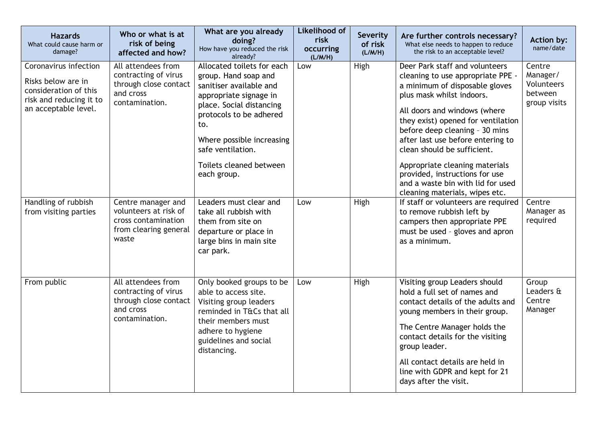| <b>Hazards</b><br>What could cause harm or<br>damage?                                                                   | Who or what is at<br>risk of being<br>affected and how?                                              | What are you already<br>doing?<br>How have you reduced the risk<br>already?                                                                                                                                                                                       | <b>Likelihood of</b><br>risk<br>occurring<br>(L/M/H) | Severity<br>of risk<br>(L/M/H) | Are further controls necessary?<br>What else needs to happen to reduce<br>the risk to an acceptable level?                                                                                                                                                                                                                                                                                                                                                | Action by:<br>name/date                                     |
|-------------------------------------------------------------------------------------------------------------------------|------------------------------------------------------------------------------------------------------|-------------------------------------------------------------------------------------------------------------------------------------------------------------------------------------------------------------------------------------------------------------------|------------------------------------------------------|--------------------------------|-----------------------------------------------------------------------------------------------------------------------------------------------------------------------------------------------------------------------------------------------------------------------------------------------------------------------------------------------------------------------------------------------------------------------------------------------------------|-------------------------------------------------------------|
| Coronavirus infection<br>Risks below are in<br>consideration of this<br>risk and reducing it to<br>an acceptable level. | All attendees from<br>contracting of virus<br>through close contact<br>and cross<br>contamination.   | Allocated toilets for each<br>group. Hand soap and<br>sanitiser available and<br>appropriate signage in<br>place. Social distancing<br>protocols to be adhered<br>to.<br>Where possible increasing<br>safe ventilation.<br>Toilets cleaned between<br>each group. | Low                                                  | High                           | Deer Park staff and volunteers<br>cleaning to use appropriate PPE -<br>a minimum of disposable gloves<br>plus mask whilst indoors.<br>All doors and windows (where<br>they exist) opened for ventilation<br>before deep cleaning - 30 mins<br>after last use before entering to<br>clean should be sufficient.<br>Appropriate cleaning materials<br>provided, instructions for use<br>and a waste bin with lid for used<br>cleaning materials, wipes etc. | Centre<br>Manager/<br>Volunteers<br>between<br>group visits |
| Handling of rubbish<br>from visiting parties                                                                            | Centre manager and<br>volunteers at risk of<br>cross contamination<br>from clearing general<br>waste | Leaders must clear and<br>take all rubbish with<br>them from site on<br>departure or place in<br>large bins in main site<br>car park.                                                                                                                             | Low                                                  | High                           | If staff or volunteers are required<br>to remove rubbish left by<br>campers then appropriate PPE<br>must be used - gloves and apron<br>as a minimum.                                                                                                                                                                                                                                                                                                      | Centre<br>Manager as<br>required                            |
| From public                                                                                                             | All attendees from<br>contracting of virus<br>through close contact<br>and cross<br>contamination.   | Only booked groups to be<br>able to access site.<br>Visiting group leaders<br>reminded in T&Cs that all<br>their members must<br>adhere to hygiene<br>guidelines and social<br>distancing.                                                                        | Low                                                  | High                           | Visiting group Leaders should<br>hold a full set of names and<br>contact details of the adults and<br>young members in their group.<br>The Centre Manager holds the<br>contact details for the visiting<br>group leader.<br>All contact details are held in<br>line with GDPR and kept for 21<br>days after the visit.                                                                                                                                    | Group<br>Leaders &<br>Centre<br>Manager                     |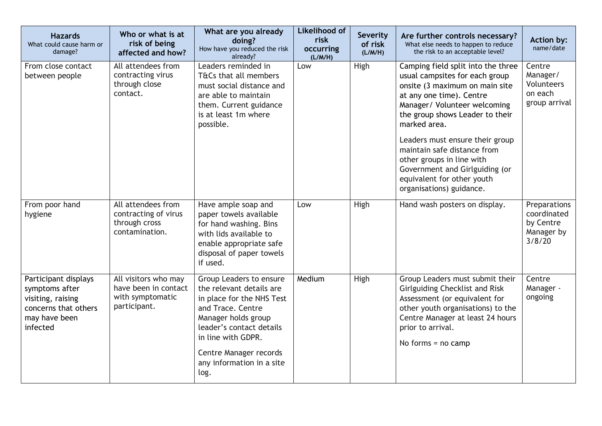| <b>Hazards</b><br>What could cause harm or<br>damage?                                                            | Who or what is at<br>risk of being<br>affected and how?                          | What are you already<br>doing?<br>How have you reduced the risk<br>already?                                                                                                                                                                   | <b>Likelihood of</b><br>risk<br>occurring<br>(L/M/H) | Severity<br>of risk<br>(L/M/H) | Are further controls necessary?<br>What else needs to happen to reduce<br>the risk to an acceptable level?                                                                                                                                                                                                                                                                                                       | Action by:<br>name/date                                          |
|------------------------------------------------------------------------------------------------------------------|----------------------------------------------------------------------------------|-----------------------------------------------------------------------------------------------------------------------------------------------------------------------------------------------------------------------------------------------|------------------------------------------------------|--------------------------------|------------------------------------------------------------------------------------------------------------------------------------------------------------------------------------------------------------------------------------------------------------------------------------------------------------------------------------------------------------------------------------------------------------------|------------------------------------------------------------------|
| From close contact<br>between people                                                                             | All attendees from<br>contracting virus<br>through close<br>contact.             | Leaders reminded in<br>T&Cs that all members<br>must social distance and<br>are able to maintain<br>them. Current guidance<br>is at least 1m where<br>possible.                                                                               | Low                                                  | High                           | Camping field split into the three<br>usual campsites for each group<br>onsite (3 maximum on main site<br>at any one time). Centre<br>Manager/ Volunteer welcoming<br>the group shows Leader to their<br>marked area.<br>Leaders must ensure their group<br>maintain safe distance from<br>other groups in line with<br>Government and Girlguiding (or<br>equivalent for other youth<br>organisations) guidance. | Centre<br>Manager/<br>Volunteers<br>on each<br>group arrival     |
| From poor hand<br>hygiene                                                                                        | All attendees from<br>contracting of virus<br>through cross<br>contamination.    | Have ample soap and<br>paper towels available<br>for hand washing. Bins<br>with lids available to<br>enable appropriate safe<br>disposal of paper towels<br>if used.                                                                          | Low                                                  | High                           | Hand wash posters on display.                                                                                                                                                                                                                                                                                                                                                                                    | Preparations<br>coordinated<br>by Centre<br>Manager by<br>3/8/20 |
| Participant displays<br>symptoms after<br>visiting, raising<br>concerns that others<br>may have been<br>infected | All visitors who may<br>have been in contact<br>with symptomatic<br>participant. | Group Leaders to ensure<br>the relevant details are<br>in place for the NHS Test<br>and Trace. Centre<br>Manager holds group<br>leader's contact details<br>in line with GDPR.<br>Centre Manager records<br>any information in a site<br>log. | Medium                                               | High                           | Group Leaders must submit their<br><b>Girlguiding Checklist and Risk</b><br>Assessment (or equivalent for<br>other youth organisations) to the<br>Centre Manager at least 24 hours<br>prior to arrival.<br>No forms $=$ no camp                                                                                                                                                                                  | Centre<br>Manager -<br>ongoing                                   |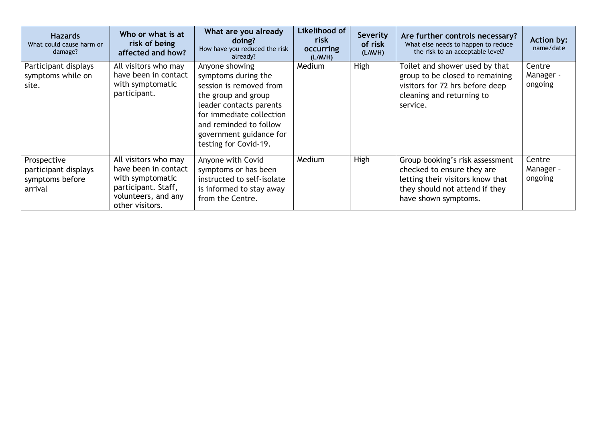| <b>Hazards</b><br>What could cause harm or<br>damage?             | Who or what is at<br>risk of being<br>affected and how?                                                                           | What are you already<br>doing?<br>How have you reduced the risk<br>already?                                                                                                                                                  | Likelihood of<br>risk<br>occurring<br>(L/M/H) | <b>Severity</b><br>of risk<br>(L/M/H) | Are further controls necessary?<br>What else needs to happen to reduce<br>the risk to an acceptable level?                                                  | <b>Action by:</b><br>name/date |
|-------------------------------------------------------------------|-----------------------------------------------------------------------------------------------------------------------------------|------------------------------------------------------------------------------------------------------------------------------------------------------------------------------------------------------------------------------|-----------------------------------------------|---------------------------------------|-------------------------------------------------------------------------------------------------------------------------------------------------------------|--------------------------------|
| Participant displays<br>symptoms while on<br>site.                | All visitors who may<br>have been in contact<br>with symptomatic<br>participant.                                                  | Anyone showing<br>symptoms during the<br>session is removed from<br>the group and group<br>leader contacts parents<br>for immediate collection<br>and reminded to follow<br>government guidance for<br>testing for Covid-19. | Medium                                        | High                                  | Toilet and shower used by that<br>group to be closed to remaining<br>visitors for 72 hrs before deep<br>cleaning and returning to<br>service.               | Centre<br>Manager -<br>ongoing |
| Prospective<br>participant displays<br>symptoms before<br>arrival | All visitors who may<br>have been in contact<br>with symptomatic<br>participant. Staff,<br>volunteers, and any<br>other visitors. | Anyone with Covid<br>symptoms or has been<br>instructed to self-isolate<br>is informed to stay away<br>from the Centre.                                                                                                      | Medium                                        | High                                  | Group booking's risk assessment<br>checked to ensure they are<br>letting their visitors know that<br>they should not attend if they<br>have shown symptoms. | Centre<br>Manager -<br>ongoing |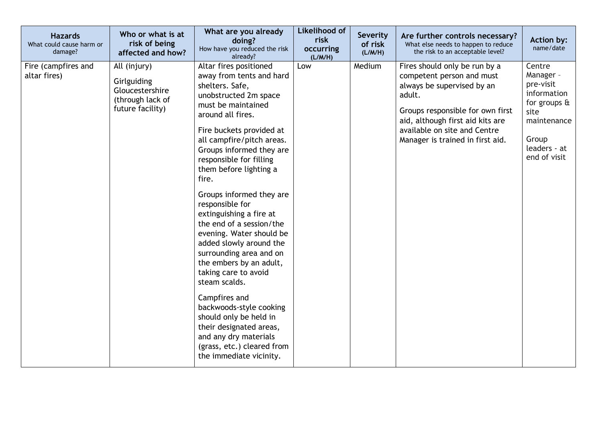| <b>Hazards</b><br>What could cause harm or<br>damage? | Who or what is at<br>risk of being<br>affected and how?                                | What are you already<br>doing?<br>How have you reduced the risk<br>already?                                                                                                                                                                                                                                                                                                                                                                                                                                                                                                                                                                                                                                                                 | <b>Likelihood of</b><br>risk<br>occurring<br>(L/M/H) | Severity<br>of risk<br>(L/M/H) | Are further controls necessary?<br>What else needs to happen to reduce<br>the risk to an acceptable level?                                                                                                                                     | <b>Action by:</b><br>name/date                                                                                                         |
|-------------------------------------------------------|----------------------------------------------------------------------------------------|---------------------------------------------------------------------------------------------------------------------------------------------------------------------------------------------------------------------------------------------------------------------------------------------------------------------------------------------------------------------------------------------------------------------------------------------------------------------------------------------------------------------------------------------------------------------------------------------------------------------------------------------------------------------------------------------------------------------------------------------|------------------------------------------------------|--------------------------------|------------------------------------------------------------------------------------------------------------------------------------------------------------------------------------------------------------------------------------------------|----------------------------------------------------------------------------------------------------------------------------------------|
| Fire (campfires and<br>altar fires)                   | All (injury)<br>Girlguiding<br>Gloucestershire<br>(through lack of<br>future facility) | Altar fires positioned<br>away from tents and hard<br>shelters. Safe,<br>unobstructed 2m space<br>must be maintained<br>around all fires.<br>Fire buckets provided at<br>all campfire/pitch areas.<br>Groups informed they are<br>responsible for filling<br>them before lighting a<br>fire.<br>Groups informed they are<br>responsible for<br>extinguishing a fire at<br>the end of a session/the<br>evening. Water should be<br>added slowly around the<br>surrounding area and on<br>the embers by an adult,<br>taking care to avoid<br>steam scalds.<br>Campfires and<br>backwoods-style cooking<br>should only be held in<br>their designated areas,<br>and any dry materials<br>(grass, etc.) cleared from<br>the immediate vicinity. | Low                                                  | Medium                         | Fires should only be run by a<br>competent person and must<br>always be supervised by an<br>adult.<br>Groups responsible for own first<br>aid, although first aid kits are<br>available on site and Centre<br>Manager is trained in first aid. | Centre<br>Manager -<br>pre-visit<br>information<br>for groups $\alpha$<br>site<br>maintenance<br>Group<br>leaders - at<br>end of visit |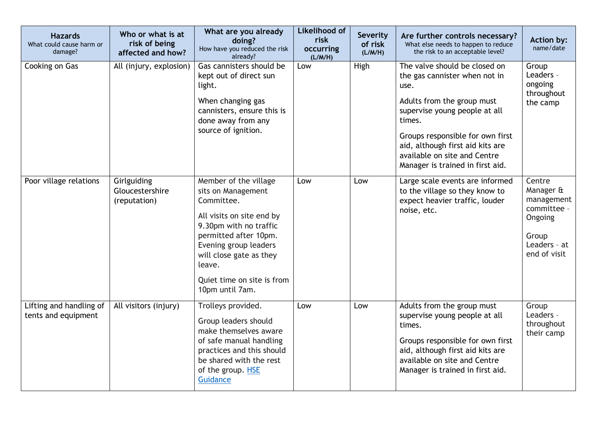| <b>Hazards</b><br>What could cause harm or<br>damage? | Who or what is at<br>risk of being<br>affected and how? | What are you already<br>doing?<br>How have you reduced the risk<br>already?                                                                                                                                                                              | <b>Likelihood of</b><br>risk<br>occurring<br>(L/M/H) | Severity<br>of risk<br>(L/M/H) | Are further controls necessary?<br>What else needs to happen to reduce<br>the risk to an acceptable level?                                                                                                                                                                                  | <b>Action by:</b><br>name/date                                                                       |
|-------------------------------------------------------|---------------------------------------------------------|----------------------------------------------------------------------------------------------------------------------------------------------------------------------------------------------------------------------------------------------------------|------------------------------------------------------|--------------------------------|---------------------------------------------------------------------------------------------------------------------------------------------------------------------------------------------------------------------------------------------------------------------------------------------|------------------------------------------------------------------------------------------------------|
| Cooking on Gas                                        | All (injury, explosion)                                 | Gas cannisters should be<br>kept out of direct sun<br>light.<br>When changing gas<br>cannisters, ensure this is<br>done away from any<br>source of ignition.                                                                                             | Low                                                  | High                           | The valve should be closed on<br>the gas cannister when not in<br>use.<br>Adults from the group must<br>supervise young people at all<br>times.<br>Groups responsible for own first<br>aid, although first aid kits are<br>available on site and Centre<br>Manager is trained in first aid. | Group<br>Leaders -<br>ongoing<br>throughout<br>the camp                                              |
| Poor village relations                                | Girlguiding<br>Gloucestershire<br>(reputation)          | Member of the village<br>sits on Management<br>Committee.<br>All visits on site end by<br>9.30pm with no traffic<br>permitted after 10pm.<br>Evening group leaders<br>will close gate as they<br>leave.<br>Quiet time on site is from<br>10pm until 7am. | Low                                                  | Low                            | Large scale events are informed<br>to the village so they know to<br>expect heavier traffic, louder<br>noise, etc.                                                                                                                                                                          | Centre<br>Manager &<br>management<br>committee -<br>Ongoing<br>Group<br>Leaders - at<br>end of visit |
| Lifting and handling of<br>tents and equipment        | All visitors (injury)                                   | Trolleys provided.<br>Group leaders should<br>make themselves aware<br>of safe manual handling<br>practices and this should<br>be shared with the rest<br>of the group. HSE<br>Guidance                                                                  | Low                                                  | Low                            | Adults from the group must<br>supervise young people at all<br>times.<br>Groups responsible for own first<br>aid, although first aid kits are<br>available on site and Centre<br>Manager is trained in first aid.                                                                           | Group<br>Leaders -<br>throughout<br>their camp                                                       |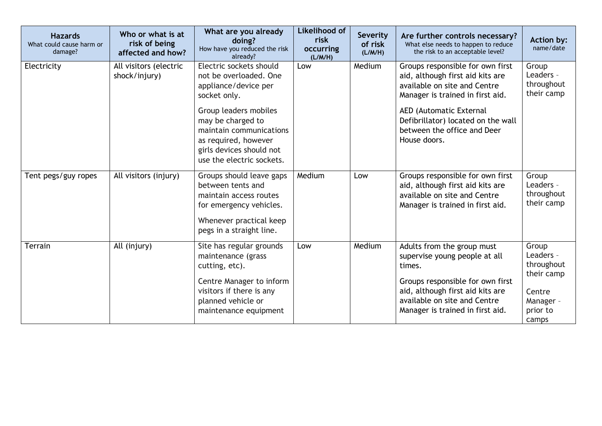| <b>Hazards</b><br>What could cause harm or<br>damage? | Who or what is at<br>risk of being<br>affected and how? | What are you already<br>doing?<br>How have you reduced the risk<br>already?                                                                                                                                                                         | Likelihood of<br>risk<br>occurring<br>(L/M/H) | <b>Severity</b><br>of risk<br>(L/M/H) | Are further controls necessary?<br>What else needs to happen to reduce<br>the risk to an acceptable level?                                                                                                                                               | Action by:<br>name/date                                                                    |
|-------------------------------------------------------|---------------------------------------------------------|-----------------------------------------------------------------------------------------------------------------------------------------------------------------------------------------------------------------------------------------------------|-----------------------------------------------|---------------------------------------|----------------------------------------------------------------------------------------------------------------------------------------------------------------------------------------------------------------------------------------------------------|--------------------------------------------------------------------------------------------|
| Electricity                                           | All visitors (electric<br>shock/injury)                 | Electric sockets should<br>not be overloaded. One<br>appliance/device per<br>socket only.<br>Group leaders mobiles<br>may be charged to<br>maintain communications<br>as required, however<br>girls devices should not<br>use the electric sockets. | Low                                           | Medium                                | Groups responsible for own first<br>aid, although first aid kits are<br>available on site and Centre<br>Manager is trained in first aid.<br>AED (Automatic External<br>Defibrillator) located on the wall<br>between the office and Deer<br>House doors. | Group<br>Leaders -<br>throughout<br>their camp                                             |
| Tent pegs/guy ropes                                   | All visitors (injury)                                   | Groups should leave gaps<br>between tents and<br>maintain access routes<br>for emergency vehicles.<br>Whenever practical keep<br>pegs in a straight line.                                                                                           | Medium                                        | Low                                   | Groups responsible for own first<br>aid, although first aid kits are<br>available on site and Centre<br>Manager is trained in first aid.                                                                                                                 | Group<br>Leaders -<br>throughout<br>their camp                                             |
| Terrain                                               | All (injury)                                            | Site has regular grounds<br>maintenance (grass<br>cutting, etc).<br>Centre Manager to inform<br>visitors if there is any<br>planned vehicle or<br>maintenance equipment                                                                             | Low                                           | Medium                                | Adults from the group must<br>supervise young people at all<br>times.<br>Groups responsible for own first<br>aid, although first aid kits are<br>available on site and Centre<br>Manager is trained in first aid.                                        | Group<br>Leaders -<br>throughout<br>their camp<br>Centre<br>Manager -<br>prior to<br>camps |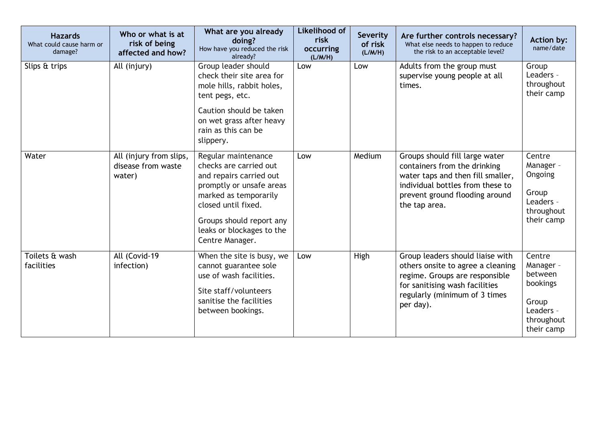| <b>Hazards</b><br>What could cause harm or<br>damage? | Who or what is at<br>risk of being<br>affected and how? | What are you already<br>doing?<br>How have you reduced the risk<br>already?                                                                                                                                                      | <b>Likelihood of</b><br>risk<br>occurring<br>(L/M/H) | Severity<br>of risk<br>(L/M/H) | Are further controls necessary?<br>What else needs to happen to reduce<br>the risk to an acceptable level?                                                                                 | <b>Action by:</b><br>name/date                                                               |
|-------------------------------------------------------|---------------------------------------------------------|----------------------------------------------------------------------------------------------------------------------------------------------------------------------------------------------------------------------------------|------------------------------------------------------|--------------------------------|--------------------------------------------------------------------------------------------------------------------------------------------------------------------------------------------|----------------------------------------------------------------------------------------------|
| Slips & trips                                         | All (injury)                                            | Group leader should<br>check their site area for<br>mole hills, rabbit holes,<br>tent pegs, etc.<br>Caution should be taken<br>on wet grass after heavy<br>rain as this can be<br>slippery.                                      | Low                                                  | Low                            | Adults from the group must<br>supervise young people at all<br>times.                                                                                                                      | Group<br>Leaders -<br>throughout<br>their camp                                               |
| Water                                                 | All (injury from slips,<br>disease from waste<br>water) | Regular maintenance<br>checks are carried out<br>and repairs carried out<br>promptly or unsafe areas<br>marked as temporarily<br>closed until fixed.<br>Groups should report any<br>leaks or blockages to the<br>Centre Manager. | Low                                                  | Medium                         | Groups should fill large water<br>containers from the drinking<br>water taps and then fill smaller,<br>individual bottles from these to<br>prevent ground flooding around<br>the tap area. | Centre<br>Manager -<br>Ongoing<br>Group<br>Leaders -<br>throughout<br>their camp             |
| Toilets & wash<br>facilities                          | All (Covid-19<br>infection)                             | When the site is busy, we<br>cannot guarantee sole<br>use of wash facilities.<br>Site staff/volunteers<br>sanitise the facilities<br>between bookings.                                                                           | Low                                                  | High                           | Group leaders should liaise with<br>others onsite to agree a cleaning<br>regime. Groups are responsible<br>for sanitising wash facilities<br>regularly (minimum of 3 times<br>per day).    | Centre<br>Manager -<br>between<br>bookings<br>Group<br>Leaders -<br>throughout<br>their camp |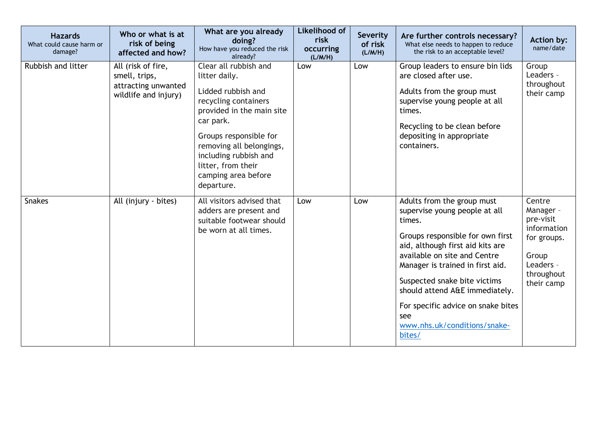| <b>Hazards</b><br>What could cause harm or<br>damage? | Who or what is at<br>risk of being<br>affected and how?                            | What are you already<br>doing?<br>How have you reduced the risk<br>already?                                                                                                                                                                                              | <b>Likelihood of</b><br>risk<br>occurring<br>(L/M/H) | Severity<br>of risk<br>(L/M/H) | Are further controls necessary?<br>What else needs to happen to reduce<br>the risk to an acceptable level?                                                                                                                                                                                                                                                                 | <b>Action by:</b><br>name/date                                                                                   |
|-------------------------------------------------------|------------------------------------------------------------------------------------|--------------------------------------------------------------------------------------------------------------------------------------------------------------------------------------------------------------------------------------------------------------------------|------------------------------------------------------|--------------------------------|----------------------------------------------------------------------------------------------------------------------------------------------------------------------------------------------------------------------------------------------------------------------------------------------------------------------------------------------------------------------------|------------------------------------------------------------------------------------------------------------------|
| Rubbish and litter                                    | All (risk of fire,<br>smell, trips,<br>attracting unwanted<br>wildlife and injury) | Clear all rubbish and<br>litter daily.<br>Lidded rubbish and<br>recycling containers<br>provided in the main site<br>car park.<br>Groups responsible for<br>removing all belongings,<br>including rubbish and<br>litter, from their<br>camping area before<br>departure. | Low                                                  | Low                            | Group leaders to ensure bin lids<br>are closed after use.<br>Adults from the group must<br>supervise young people at all<br>times.<br>Recycling to be clean before<br>depositing in appropriate<br>containers.                                                                                                                                                             | Group<br>Leaders -<br>throughout<br>their camp                                                                   |
| <b>Snakes</b>                                         | All (injury - bites)                                                               | All visitors advised that<br>adders are present and<br>suitable footwear should<br>be worn at all times.                                                                                                                                                                 | Low                                                  | Low                            | Adults from the group must<br>supervise young people at all<br>times.<br>Groups responsible for own first<br>aid, although first aid kits are<br>available on site and Centre<br>Manager is trained in first aid.<br>Suspected snake bite victims<br>should attend A&E immediately.<br>For specific advice on snake bites<br>see<br>www.nhs.uk/conditions/snake-<br>bites/ | Centre<br>Manager -<br>pre-visit<br>information<br>for groups.<br>Group<br>Leaders -<br>throughout<br>their camp |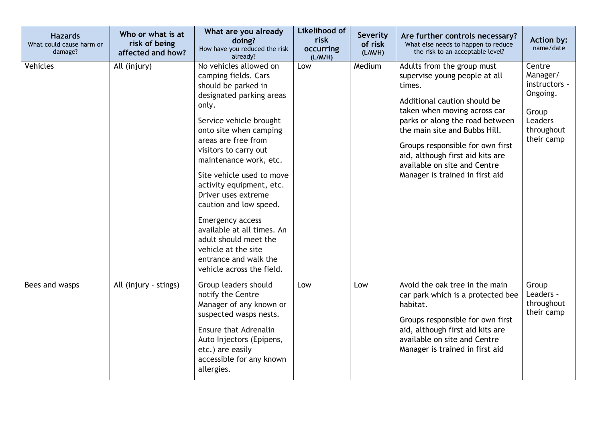| <b>Hazards</b><br>What could cause harm or<br>damage? | Who or what is at<br>risk of being<br>affected and how? | What are you already<br>doing?<br>How have you reduced the risk<br>already?                                                                                                                                                                                                                                                                                                                                                                                                                                 | Likelihood of<br>risk<br>occurring<br>(L/M/H) | Severity<br>of risk<br>(L/M/H) | Are further controls necessary?<br>What else needs to happen to reduce<br>the risk to an acceptable level?                                                                                                                                                                                                                                           | <b>Action by:</b><br>name/date                                                                    |
|-------------------------------------------------------|---------------------------------------------------------|-------------------------------------------------------------------------------------------------------------------------------------------------------------------------------------------------------------------------------------------------------------------------------------------------------------------------------------------------------------------------------------------------------------------------------------------------------------------------------------------------------------|-----------------------------------------------|--------------------------------|------------------------------------------------------------------------------------------------------------------------------------------------------------------------------------------------------------------------------------------------------------------------------------------------------------------------------------------------------|---------------------------------------------------------------------------------------------------|
| Vehicles                                              | All (injury)                                            | No vehicles allowed on<br>camping fields. Cars<br>should be parked in<br>designated parking areas<br>only.<br>Service vehicle brought<br>onto site when camping<br>areas are free from<br>visitors to carry out<br>maintenance work, etc.<br>Site vehicle used to move<br>activity equipment, etc.<br>Driver uses extreme<br>caution and low speed.<br>Emergency access<br>available at all times. An<br>adult should meet the<br>vehicle at the site<br>entrance and walk the<br>vehicle across the field. | Low                                           | Medium                         | Adults from the group must<br>supervise young people at all<br>times.<br>Additional caution should be<br>taken when moving across car<br>parks or along the road between<br>the main site and Bubbs Hill.<br>Groups responsible for own first<br>aid, although first aid kits are<br>available on site and Centre<br>Manager is trained in first aid | Centre<br>Manager/<br>instructors -<br>Ongoing.<br>Group<br>Leaders -<br>throughout<br>their camp |
| Bees and wasps                                        | All (injury - stings)                                   | Group leaders should<br>notify the Centre<br>Manager of any known or<br>suspected wasps nests.<br><b>Ensure that Adrenalin</b><br>Auto Injectors (Epipens,<br>etc.) are easily<br>accessible for any known<br>allergies.                                                                                                                                                                                                                                                                                    | Low                                           | Low                            | Avoid the oak tree in the main<br>car park which is a protected bee<br>habitat.<br>Groups responsible for own first<br>aid, although first aid kits are<br>available on site and Centre<br>Manager is trained in first aid                                                                                                                           | Group<br>Leaders -<br>throughout<br>their camp                                                    |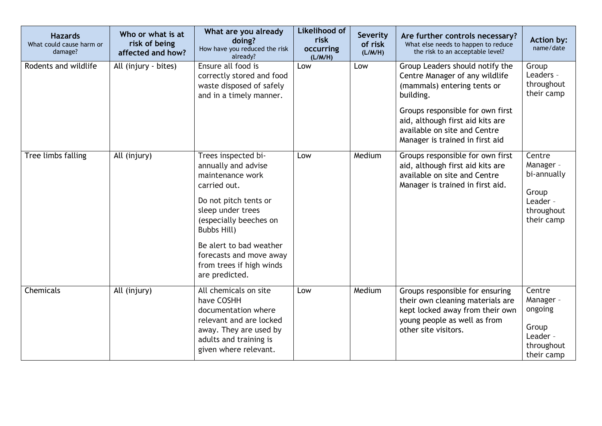| <b>Hazards</b><br>What could cause harm or<br>damage? | Who or what is at<br>risk of being<br>affected and how? | What are you already<br>doing?<br>How have you reduced the risk<br>already?                                                                                                                                                                                               | <b>Likelihood of</b><br>risk<br>occurring<br>(L/M/H) | <b>Severity</b><br>of risk<br>(L/M/H) | Are further controls necessary?<br>What else needs to happen to reduce<br>the risk to an acceptable level?                                                                                                                                               | <b>Action by:</b><br>name/date                                                      |
|-------------------------------------------------------|---------------------------------------------------------|---------------------------------------------------------------------------------------------------------------------------------------------------------------------------------------------------------------------------------------------------------------------------|------------------------------------------------------|---------------------------------------|----------------------------------------------------------------------------------------------------------------------------------------------------------------------------------------------------------------------------------------------------------|-------------------------------------------------------------------------------------|
| Rodents and wildlife                                  | All (injury - bites)                                    | Ensure all food is<br>correctly stored and food<br>waste disposed of safely<br>and in a timely manner.                                                                                                                                                                    | Low                                                  | Low                                   | Group Leaders should notify the<br>Centre Manager of any wildlife<br>(mammals) entering tents or<br>building.<br>Groups responsible for own first<br>aid, although first aid kits are<br>available on site and Centre<br>Manager is trained in first aid | Group<br>Leaders -<br>throughout<br>their camp                                      |
| Tree limbs falling                                    | All (injury)                                            | Trees inspected bi-<br>annually and advise<br>maintenance work<br>carried out.<br>Do not pitch tents or<br>sleep under trees<br>(especially beeches on<br>Bubbs Hill)<br>Be alert to bad weather<br>forecasts and move away<br>from trees if high winds<br>are predicted. | Low                                                  | Medium                                | Groups responsible for own first<br>aid, although first aid kits are<br>available on site and Centre<br>Manager is trained in first aid.                                                                                                                 | Centre<br>Manager -<br>bi-annually<br>Group<br>Leader -<br>throughout<br>their camp |
| Chemicals                                             | All (injury)                                            | All chemicals on site<br>have COSHH<br>documentation where<br>relevant and are locked<br>away. They are used by<br>adults and training is<br>given where relevant.                                                                                                        | Low                                                  | Medium                                | Groups responsible for ensuring<br>their own cleaning materials are<br>kept locked away from their own<br>young people as well as from<br>other site visitors.                                                                                           | Centre<br>Manager -<br>ongoing<br>Group<br>Leader -<br>throughout<br>their camp     |